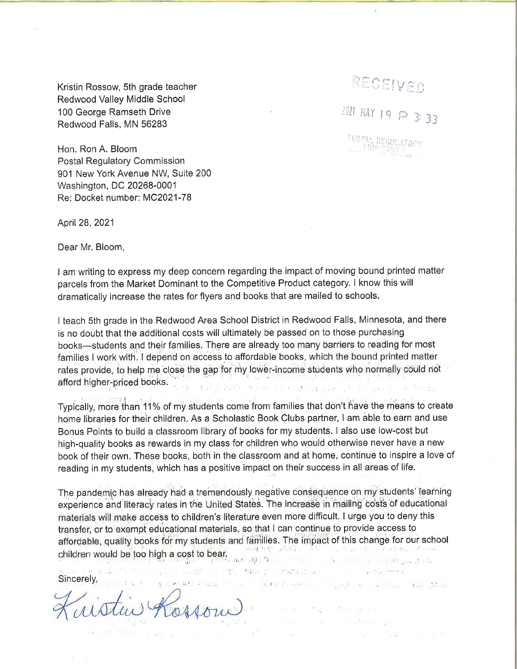Kristin Rossow, 5th grade teacher Redwood Valley Middle School 100 George Ramseth Drive Redwood Falls, MN 56283

Hon. Ron A. Bloom **Postal Regulatory Commission** 901 New York Avenue NW, Suite 200 Washington, DC 20268-0001 Re: Docket number: MC2021-78

April 28, 2021

Dear Mr. Bloom,

I am writing to express my deep concern regarding the impact of moving bound printed matter parcels from the Market Dominant to the Competitive Product category. I know this will dramatically increase the rates for flyers and books that are mailed to schools.

RECEIVED

2021 MAY 19 P 3: 33

I teach 5th grade in the Redwood Area School District in Redwood Falls, Minnesota, and there is no doubt that the additional costs will ultimately be passed on to those purchasing books-students and their families. There are already too many barriers to reading for most families I work with. I depend on access to affordable books, which the bound printed matter rates provide, to help me close the gap for my lower-income students who normally could not afford higher-priced books.

Typically, more than 11% of my students come from families that don't have the means to create home libraries for their children. As a Scholastic Book Clubs partner, I am able to earn and use Bonus Points to build a classroom library of books for my students. I also use low-cost but high-quality books as rewards in my class for children who would otherwise never have a new book of their own. These books, both in the classroom and at home, continue to inspire a love of reading in my students, which has a positive impact on their success in all areas of life.

The pandemic has already had a tremendously negative consequence on my students' learning experience and literacy rates in the United States. The increase in mailing costs of educational materials will make access to children's literature even more difficult. I urge you to deny this transfer, or to exempt educational materials, so that I can continue to provide access to affordable, quality books for my students and families. The impact of this change for our school children would be too high a cost to bear.

1-86 Particular Mark (1994) Particular Communications

ma del sculpt and the phone of the

and the part of state of the

Sincerely,

s CASAP Reveal for an internal protocol of proposition of the first party. Cosson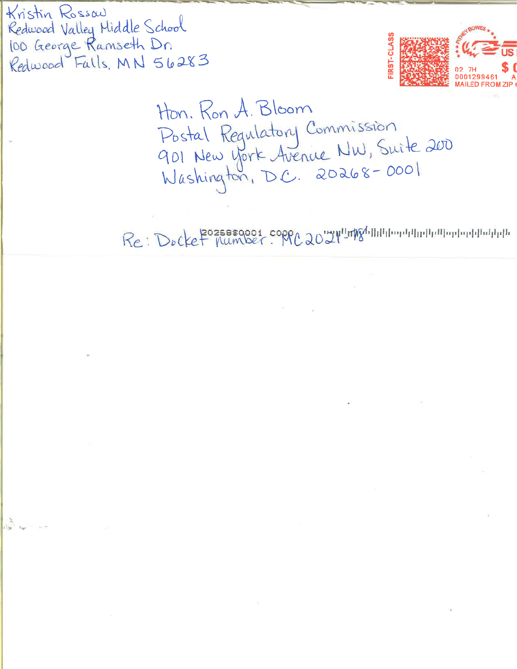Kristin Rossau Redwood Valley Middle School<br>100 George Ramseth Dn<br>Redwood Falls, MN 56283



Hon. Ron A. Bloom Postal Regulatory Commission<br>901 New York Avenue NW, Suite 200<br>Washington, D.C. 20268-0001

Re: Docket Mumber. MC2021 Improposition in monopolitation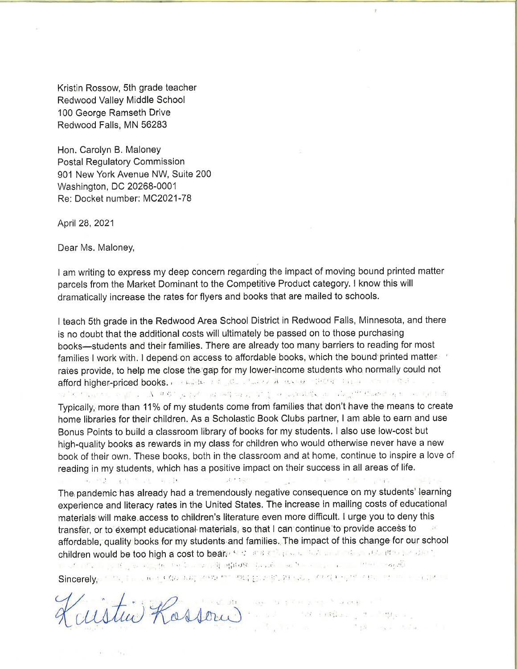Kristin Rossow, 5th grade teacher Redwood Valley Middle School 100 George Ramseth Drive Redwood Falls, MN 56283

Hon. Carolyn B. Maloney Postal Regulatory Commission 901 New York Avenue NW, Suite 200 Washington, DC 20268-0001 Re: Docket number: MC2021-78

April28,2021

Dear Ms. Maloney,

I am writing to express my deep concern regarding the impact of moving bound printed matter parcels from the Market Dominant to the Competitive Product category. I know this will dramatically increase the rates for flyers and books that are mailed to schools.

I teach 5th grade in the Redwood Area School District in Redwood Falls, Minnesota, and there is no doubt that the additional costs will ultimately be passed on to those purchasing books-students and their families. There are already too many barriers to reading for most families I work with. I depend on access to affordable books, which the bound printed matter is rates provide, to help me close the gap for my lower-income students who normally could not afford higher-priced books. FOR INTERFERIES A RUNG STORE CHERE AND LIGHT THE . . $\Lambda$  . On  $\mathfrak{g}^*$  ,  $\chi$  , if of the particles  $\chi^*$  . If  $\chi$  , or ,  $\chi$  is a set  $\chi$  . If  $\chi$  is a set  $\chi$ 

Typically, more than 11% of my students come from families that don't have the means to create home libraries for their children. As a Scholastic Book Clubs partner, I am able to earn and use Bonus Points to build a classroom library of books for my students. I also use low-cost but high-quality books as rewards in my class for children who would otherwise never have a new book of their own. These books, both in the classroom and at home, continue to inspire a love of reading in my students, which has a positive impact on their success in all areas of life. A PER SERVICE THE SERVICE OF THE PERSON WAS CONSUMED.

The pandemic has already had a tremendously negative consequence on my students' learning experience and literacy rates in the United States, The increase in mailing costs of educational materials will make access to children's literature even more difficult. I urge you to deny this transfèr, or to éxempt educational materials, so that I can continue to provide access to affordable, quality books for my students and families. The impact of this change for our school anordable, quality books for triy students and families.<br>children would be too high a cost to bear; it ...  $f$  ...  $f$  ...  $f$  ...  $f$  ...  $f$  ...,  $f$  ...  $f$  ...  $f$  ...,  $f$  ...,  $f$  ...,  $f$  ...,  $f$  ...,  $f$  ...,  $f$  ...,  $f$  ...,  $f$  ...,  $f$  ...,  $f$  ...,  $f$  ...,  $f$  ...,  $f$  ...,  $f$  ...,  $f$  ...,  $f$  ...,  $f$   $\textsf{Since}$ rely, the state of  $\alpha$  and the right that  $\alpha$  is the state of  $\alpha$ 

and the company to the property of some of Kossour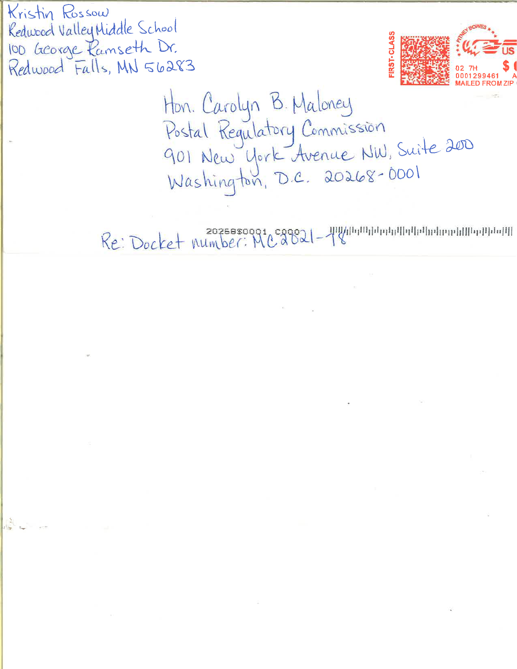Kristin Rossow Redwood Valley Middle School 100 George Ramseth Dr. Redwood Falls, MN 56283



Hon. Carolyn B. Maloney<br>Postal Regulatory Commission<br>901 New York Avenue NW, Suite 200<br>Washington, D.C. 20268-0001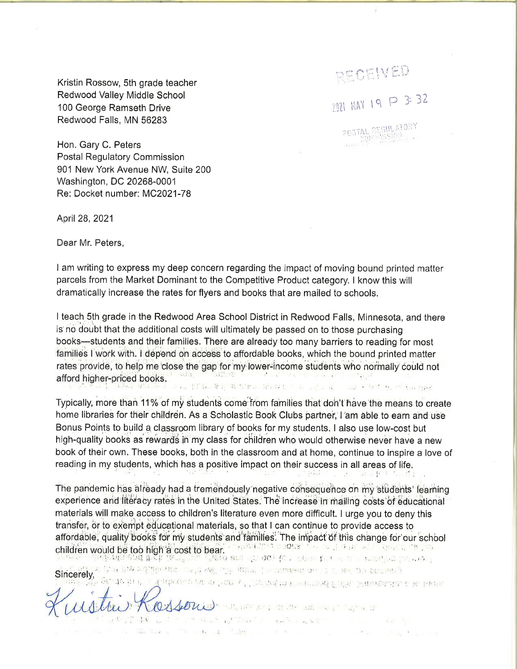Kristin Rossow, 5th grade teacher Redwood Valley Middle School 100 George Ramseth Drive Redwood Falls, MN 56283

Hon. Gary C. Peters **Postal Regulatory Commission** 901 New York Avenue NW, Suite 200 Washington, DC 20268-0001 Re: Docket number: MC2021-78

April 28, 2021

Dear Mr. Peters.

I am writing to express my deep concern regarding the impact of moving bound printed matter parcels from the Market Dominant to the Competitive Product category. I know this will dramatically increase the rates for flyers and books that are mailed to schools.

RECEIVED

2021 MAY 19 P 3: 32

POSTAL REGULATORY

Japan Serge Mar

I teach 5th grade in the Redwood Area School District in Redwood Falls, Minnesota, and there is no doubt that the additional costs will ultimately be passed on to those purchasing books—students and their families. There are already too many barriers to reading for most families I work with. I depend on access to affordable books, which the bound printed matter rates provide, to help me close the gap for my lower-income students who normally could not afford higher-priced books. an [일]&n 유입 30 일만 다 있어있는 - 31 mil mail · Built the <sup>politic</sup>ance from at

Typically, more than 11% of my students come from families that don't have the means to create home libraries for their children. As a Scholastic Book Clubs partner, I am able to earn and use Bonus Points to build a classroom library of books for my students. I also use low-cost but high-quality books as rewards in my class for children who would otherwise never have a new book of their own. These books, both in the classroom and at home, continue to inspire a love of reading in my students, which has a positive impact on their success in all areas of life.

The pandemic has already had a tremendously negative consequence on my students' learning experience and literacy rates in the United States. The increase in mailing costs of educational materials will make access to children's literature even more difficult. I urge you to deny this transfer, or to exempt educational materials, so that I can continue to provide access to affordable, quality books for my students and families. The impact of this change for our school children would be too high a cost to bear. The later a sould be a state of the state of the state of the state

Sincerely, Strategy THE FITTING MAN, THE REAL PROPERTY OF THE REPORT OF THE CONTRACT Kodwieczen mit en und werden mehr meine bereiten einer eine

Clester How the state of the state of the state 196 Adolf 10 L A R P Real of Const Leaving Construction and A the control of the control of the control of the control of the control of the control of the control of the control of the control of the control of the control of the control of the control of the control of the control